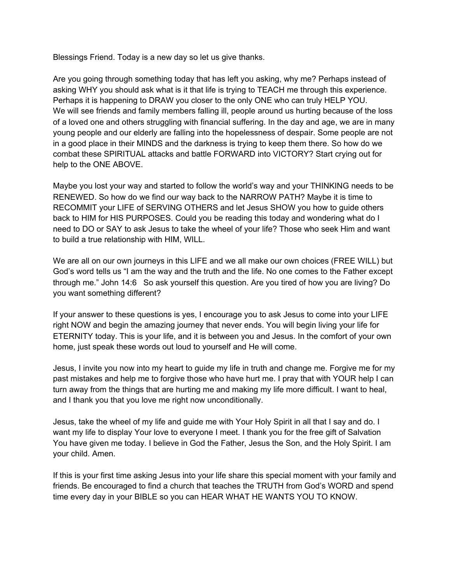Blessings Friend. Today is a new day so let us give thanks.

Are you going through something today that has left you asking, why me? Perhaps instead of asking WHY you should ask what is it that life is trying to TEACH me through this experience. Perhaps it is happening to DRAW you closer to the only ONE who can truly HELP YOU. We will see friends and family members falling ill, people around us hurting because of the loss of a loved one and others struggling with financial suffering. In the day and age, we are in many young people and our elderly are falling into the hopelessness of despair. Some people are not in a good place in their MINDS and the darkness is trying to keep them there. So how do we combat these SPIRITUAL attacks and battle FORWARD into VICTORY? Start crying out for help to the ONE ABOVE.

Maybe you lost your way and started to follow the world's way and your THINKING needs to be RENEWED. So how do we find our way back to the NARROW PATH? Maybe it is time to RECOMMIT your LIFE of SERVING OTHERS and let Jesus SHOW you how to guide others back to HIM for HIS PURPOSES. Could you be reading this today and wondering what do I need to DO or SAY to ask Jesus to take the wheel of your life? Those who seek Him and want to build a true relationship with HIM, WILL.

We are all on our own journeys in this LIFE and we all make our own choices (FREE WILL) but God's word tells us "I am the way and the truth and the life. No one comes to the Father except through me." John 14:6 So ask yourself this question. Are you tired of how you are living? Do you want something different?

If your answer to these questions is yes, I encourage you to ask Jesus to come into your LIFE right NOW and begin the amazing journey that never ends. You will begin living your life for ETERNITY today. This is your life, and it is between you and Jesus. In the comfort of your own home, just speak these words out loud to yourself and He will come.

Jesus, I invite you now into my heart to guide my life in truth and change me. Forgive me for my past mistakes and help me to forgive those who have hurt me. I pray that with YOUR help I can turn away from the things that are hurting me and making my life more difficult. I want to heal, and I thank you that you love me right now unconditionally.

Jesus, take the wheel of my life and guide me with Your Holy Spirit in all that I say and do. I want my life to display Your love to everyone I meet. I thank you for the free gift of Salvation You have given me today. I believe in God the Father, Jesus the Son, and the Holy Spirit. I am your child. Amen.

If this is your first time asking Jesus into your life share this special moment with your family and friends. Be encouraged to find a church that teaches the TRUTH from God's WORD and spend time every day in your BIBLE so you can HEAR WHAT HE WANTS YOU TO KNOW.